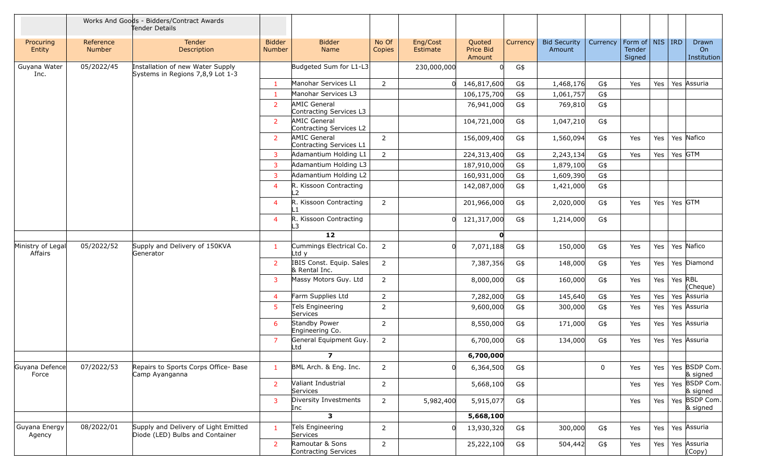|                              |                     | Works And Goods - Bidders/Contract Awards<br>Tender Details             |                                |                                                |                 |                      |                               |          |                               |          |                                                     |         |         |                            |
|------------------------------|---------------------|-------------------------------------------------------------------------|--------------------------------|------------------------------------------------|-----------------|----------------------|-------------------------------|----------|-------------------------------|----------|-----------------------------------------------------|---------|---------|----------------------------|
| Procuring<br>Entity          | Reference<br>Number | Tender<br>Description                                                   | <b>Bidder</b><br><b>Number</b> | <b>Bidder</b><br>Name                          | No Of<br>Copies | Eng/Cost<br>Estimate | Quoted<br>Price Bid<br>Amount | Currency | <b>Bid Security</b><br>Amount | Currency | Form of $\vert$ NIS $\vert$ IRD<br>Tender<br>Signed |         |         | Drawn<br>On<br>Institution |
| Guyana Water<br>Inc.         | 05/2022/45          | Installation of new Water Supply<br>Systems in Regions 7,8,9 Lot 1-3    |                                | Budgeted Sum for L1-L3                         |                 | 230,000,000          |                               | G\$      |                               |          |                                                     |         |         |                            |
|                              |                     |                                                                         | -1                             | Manohar Services L1                            | $\overline{2}$  | 0                    | 146,817,600                   | G\$      | 1,468,176                     | G\$      | Yes                                                 | Yes     |         | Yes Assuria                |
|                              |                     |                                                                         | $\mathbf{1}$                   | Manohar Services L3                            |                 |                      | 106,175,700                   | G\$      | 1,061,757                     | G\$      |                                                     |         |         |                            |
|                              |                     |                                                                         | $\overline{2}$                 | AMIC General<br>Contracting Services L3        |                 |                      | 76,941,000                    | G\$      | 769,810                       | G\$      |                                                     |         |         |                            |
|                              |                     |                                                                         | $\overline{2}$                 | <b>AMIC General</b><br>Contracting Services L2 |                 |                      | 104,721,000                   | G\$      | 1,047,210                     | G\$      |                                                     |         |         |                            |
|                              |                     |                                                                         | 2                              | <b>AMIC General</b><br>Contracting Services L1 | $\overline{2}$  |                      | 156,009,400                   | G\$      | 1,560,094                     | G\$      | Yes                                                 | Yes     |         | Yes Nafico                 |
|                              |                     |                                                                         | 3                              | Adamantium Holding L1                          | $\overline{2}$  |                      | 224,313,400                   | G\$      | 2,243,134                     | G\$      | Yes                                                 | Yes     | Yes GTM |                            |
|                              |                     |                                                                         | 3                              | Adamantium Holding L3                          |                 |                      | 187,910,000                   | G\$      | 1,879,100                     | G\$      |                                                     |         |         |                            |
|                              |                     |                                                                         | 3                              | Adamantium Holding L2                          |                 |                      | 160,931,000                   | G\$      | 1,609,390                     | G\$      |                                                     |         |         |                            |
|                              |                     |                                                                         | $\overline{4}$                 | R. Kissoon Contracting<br>$\overline{2}$       |                 |                      | 142,087,000                   | G\$      | 1,421,000                     | G\$      |                                                     |         |         |                            |
|                              |                     |                                                                         | $\overline{4}$                 | R. Kissoon Contracting<br>∣ 1                  | $\overline{2}$  |                      | 201,966,000                   | G\$      | 2,020,000                     | G\$      | Yes                                                 | Yes     | Yes GTM |                            |
|                              |                     |                                                                         | $\overline{4}$                 | R. Kissoon Contracting<br>L3                   |                 |                      | 0 121,317,000                 | G\$      | 1,214,000                     | G\$      |                                                     |         |         |                            |
|                              |                     |                                                                         |                                | $12$                                           |                 |                      | O                             |          |                               |          |                                                     |         |         |                            |
| Ministry of Legal<br>Affairs | 05/2022/52          | Supply and Delivery of 150KVA<br>Generator                              | -1                             | Cummings Electrical Co.<br>Ltd y               | $\overline{2}$  | $\Omega$             | 7,071,188                     | G\$      | 150,000                       | G\$      | Yes                                                 | Yes     |         | Yes Nafico                 |
|                              |                     |                                                                         | $\overline{2}$                 | IBIS Const. Equip. Sales<br>& Rental Inc.      | 2               |                      | 7,387,356                     | G\$      | 148,000                       | G\$      | Yes                                                 | Yes     |         | Yes Diamond                |
|                              |                     |                                                                         | 3                              | Massy Motors Guy. Ltd                          | $\overline{2}$  |                      | 8,000,000                     | G\$      | 160,000                       | G\$      | Yes                                                 | Yes     | Yes RBL | (Cheque)                   |
|                              |                     |                                                                         | $\overline{4}$                 | Farm Supplies Ltd                              | $\overline{2}$  |                      | 7,282,000                     | G\$      | 145,640                       | G\$      | Yes                                                 | Yes     |         | Yes Assuria                |
|                              |                     |                                                                         | 5                              | Tels Engineering<br>Services                   | $\overline{2}$  |                      | 9,600,000                     | G\$      | 300,000                       | G\$      | Yes                                                 | Yes     |         | Yes Assuria                |
|                              |                     |                                                                         | 6                              | Standby Power<br>Engineering Co.               | $\overline{2}$  |                      | 8,550,000                     | G\$      | 171,000                       | G\$      | Yes                                                 | Yes     |         | Yes Assuria                |
|                              |                     |                                                                         | $\overline{7}$                 | General Equipment Guy.<br>Ltd                  | $\overline{2}$  |                      | 6,700,000                     | G\$      | 134,000                       | G\$      | Yes                                                 | Yes     |         | Yes Assuria                |
|                              |                     |                                                                         |                                | $\overline{\mathbf{z}}$                        |                 |                      | 6,700,000                     |          |                               |          |                                                     |         |         |                            |
| Guyana Defence<br>Force      | 07/2022/53          | Repairs to Sports Corps Office- Base<br>Camp Ayanganna                  |                                | BML Arch. & Eng. Inc.                          | $\overline{2}$  | $\Omega$             | 6,364,500                     | G\$      |                               | 0        | Yes                                                 | Yes     |         | Yes BSDP Com.<br>& signed  |
|                              |                     |                                                                         | $\overline{2}$                 | Valiant Industrial<br>Services                 | $\overline{2}$  |                      | 5,668,100                     | G\$      |                               |          | Yes                                                 | Yes     |         | Yes BSDP Com.<br>& signed  |
|                              |                     |                                                                         | 3                              | Diversity Investments<br>Inc                   | $\overline{2}$  | 5,982,400            | 5,915,077                     | G\$      |                               |          | Yes                                                 | Yes $ $ |         | Yes BSDP Com.<br>& signed  |
|                              |                     |                                                                         |                                | 3                                              |                 |                      | 5,668,100                     |          |                               |          |                                                     |         |         |                            |
| Guyana Energy<br>Agency      | 08/2022/01          | Supply and Delivery of Light Emitted<br>Diode (LED) Bulbs and Container | $\mathbf{1}$                   | Tels Engineering<br>Services                   | $\overline{2}$  |                      | 13,930,320                    | G\$      | 300,000                       | G\$      | Yes                                                 | Yes     |         | Yes Assuria                |
|                              |                     |                                                                         | $\overline{2}$                 | Ramoutar & Sons<br>Contracting Services        | $\overline{2}$  |                      | 25,222,100                    | G\$      | 504,442                       | G\$      | Yes                                                 | Yes $ $ |         | Yes Assuria<br>(Copy)      |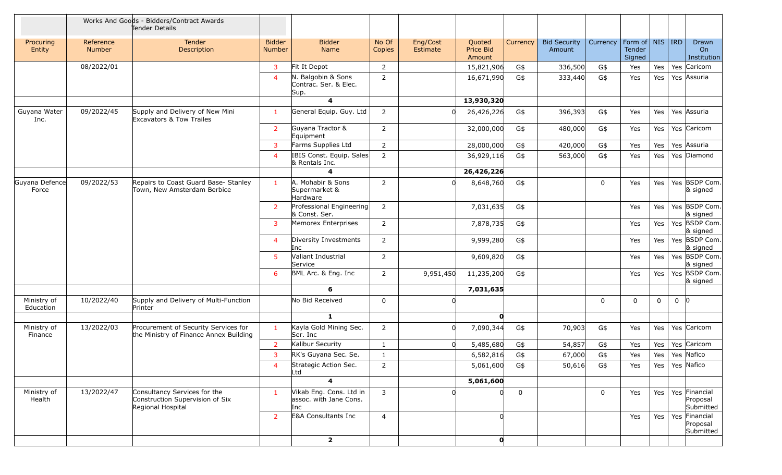|                          |                            | Works And Goods - Bidders/Contract Awards<br>Tender Details                          |                                |                                                          |                 |                      |                               |             |                               |          |                                                     |     |                    |                            |
|--------------------------|----------------------------|--------------------------------------------------------------------------------------|--------------------------------|----------------------------------------------------------|-----------------|----------------------|-------------------------------|-------------|-------------------------------|----------|-----------------------------------------------------|-----|--------------------|----------------------------|
| Procuring<br>Entity      | Reference<br><b>Number</b> | Tender<br>Description                                                                | <b>Bidder</b><br><b>Number</b> | <b>Bidder</b><br>Name                                    | No Of<br>Copies | Eng/Cost<br>Estimate | Quoted<br>Price Bid<br>Amount | Currency    | <b>Bid Security</b><br>Amount | Currency | Form of $\vert$ NIS $\vert$ IRD<br>Tender<br>Signed |     |                    | Drawn<br>On<br>Institution |
|                          | 08/2022/01                 |                                                                                      | 3                              | Fit It Depot                                             | $\overline{2}$  |                      | 15,821,906                    | G\$         | 336,500                       | G\$      | Yes                                                 | Yes | Yes Caricom        |                            |
|                          |                            |                                                                                      | $\overline{a}$                 | N. Balgobin & Sons<br>Contrac. Ser. & Elec.<br>Sup.      | $\overline{2}$  |                      | 16,671,990                    | G\$         | 333,440                       | G\$      | Yes                                                 | Yes | Yes Assuria        |                            |
|                          |                            |                                                                                      |                                | 4                                                        |                 |                      | 13,930,320                    |             |                               |          |                                                     |     |                    |                            |
| Guyana Water<br>Inc.     | 09/2022/45                 | Supply and Delivery of New Mini<br>Excavators & Tow Trailes                          | $\mathbf{1}$                   | General Equip. Guy. Ltd                                  | $\overline{2}$  |                      | 26,426,226                    | G\$         | 396,393                       | G\$      | Yes                                                 | Yes | Yes Assuria        |                            |
|                          |                            |                                                                                      | 2                              | Guyana Tractor &<br>Equipment                            | $\overline{2}$  |                      | 32,000,000                    | G\$         | 480,000                       | G\$      | Yes                                                 | Yes | Yes Caricom        |                            |
|                          |                            |                                                                                      | 3                              | Farms Supplies Ltd                                       | $\overline{2}$  |                      | 28,000,000                    | G\$         | 420,000                       | G\$      | Yes                                                 | Yes | Yes Assuria        |                            |
|                          |                            |                                                                                      | $\overline{4}$                 | IBIS Const. Equip. Sales<br>& Rentals Inc.               | $\overline{2}$  |                      | 36,929,116                    | G\$         | 563,000                       | G\$      | Yes                                                 | Yes | Yes Diamond        |                            |
|                          |                            |                                                                                      |                                | 4                                                        |                 |                      | 26,426,226                    |             |                               |          |                                                     |     |                    |                            |
| Guyana Defence<br>Force  | 09/2022/53                 | Repairs to Coast Guard Base- Stanley<br>Town, New Amsterdam Berbice                  | $\mathbf{1}$                   | A. Mohabir & Sons<br>Supermarket &<br>Hardware           | $\overline{2}$  |                      | 8,648,760                     | G\$         |                               | 0        | Yes                                                 | Yes |                    | Yes BSDP Com.<br>& signed  |
|                          |                            |                                                                                      | $\overline{2}$                 | Professional Engineering<br>& Const. Ser.                | $\overline{2}$  |                      | 7,031,635                     | G\$         |                               |          | Yes                                                 | Yes |                    | Yes BSDP Com.<br>& signed  |
|                          |                            |                                                                                      | 3                              | Memorex Enterprises                                      | $\overline{2}$  |                      | 7,878,735                     | G\$         |                               |          | Yes                                                 | Yes |                    | Yes BSDP Com.<br>& signed  |
|                          |                            |                                                                                      | $\overline{4}$                 | Diversity Investments<br>Inc                             | $\overline{2}$  |                      | 9,999,280                     | G\$         |                               |          | Yes                                                 | Yes |                    | Yes BSDP Com.<br>& signed  |
|                          |                            |                                                                                      | 5                              | Valiant Industrial<br>Service                            | $\overline{2}$  |                      | 9,609,820                     | G\$         |                               |          | Yes                                                 | Yes |                    | Yes BSDP Com.<br>& signed  |
|                          |                            |                                                                                      | 6                              | BML Arc. & Eng. Inc                                      | $\overline{2}$  | 9,951,450            | 11,235,200                    | G\$         |                               |          | Yes                                                 | Yes |                    | Yes BSDP Com.<br>& signed  |
|                          |                            |                                                                                      |                                | 6                                                        |                 |                      | 7,031,635                     |             |                               |          |                                                     |     |                    |                            |
| Ministry of<br>Education | 10/2022/40                 | Supply and Delivery of Multi-Function<br>Printer                                     |                                | No Bid Received                                          | $\mathbf 0$     |                      |                               |             |                               | 0        | $\mathbf 0$                                         | 0   | $0 \mid 0$         |                            |
|                          |                            |                                                                                      |                                | 1                                                        |                 |                      | 0                             |             |                               |          |                                                     |     |                    |                            |
| Ministry of<br>Finance   | 13/2022/03                 | Procurement of Security Services for<br>the Ministry of Finance Annex Building       | $\mathbf{1}$                   | Kayla Gold Mining Sec.<br>Ser. Inc                       | $\overline{2}$  | $\Omega$             | 7,090,344                     | G\$         | 70,903                        | G\$      | Yes                                                 | Yes | Yes Caricom        |                            |
|                          |                            |                                                                                      | $\overline{2}$                 | Kalibur Security                                         | $\mathbf{1}$    | <sup>0</sup>         | 5,485,680                     | G\$         | 54,857                        | G\$      | Yes                                                 | Yes | Yes Caricom        |                            |
|                          |                            |                                                                                      | 3                              | RK's Guyana Sec. Se.                                     | $\mathbf{1}$    |                      | 6,582,816                     | G\$         | 67,000                        | G\$      | Yes                                                 | Yes | Yes Nafico         |                            |
|                          |                            |                                                                                      | $\overline{4}$                 | Strategic Action Sec.<br>Ltd                             | $\overline{2}$  |                      | 5,061,600                     | G\$         | 50,616                        | G\$      | Yes                                                 |     | Yes   Yes   Nafico |                            |
|                          |                            |                                                                                      |                                | $\overline{\mathbf{4}}$                                  |                 |                      | 5,061,600                     |             |                               |          |                                                     |     |                    |                            |
| Ministry of<br>Health    | 13/2022/47                 | Consultancy Services for the<br>Construction Supervision of Six<br>Regional Hospital | $\mathbf{1}$                   | Vikab Eng. Cons. Ltd in<br>assoc. with Jane Cons.<br>Inc | 3               |                      |                               | $\mathbf 0$ |                               | 0        | Yes                                                 | Yes | Yes Financial      | Proposal<br>Submitted      |
|                          |                            |                                                                                      | $\overline{2}$                 | <b>E&amp;A Consultants Inc</b>                           | $\overline{4}$  |                      |                               |             |                               |          | Yes                                                 | Yes | Yes Financial      | Proposal<br>Submitted      |
|                          |                            |                                                                                      |                                | $\mathbf{2}$                                             |                 |                      | O                             |             |                               |          |                                                     |     |                    |                            |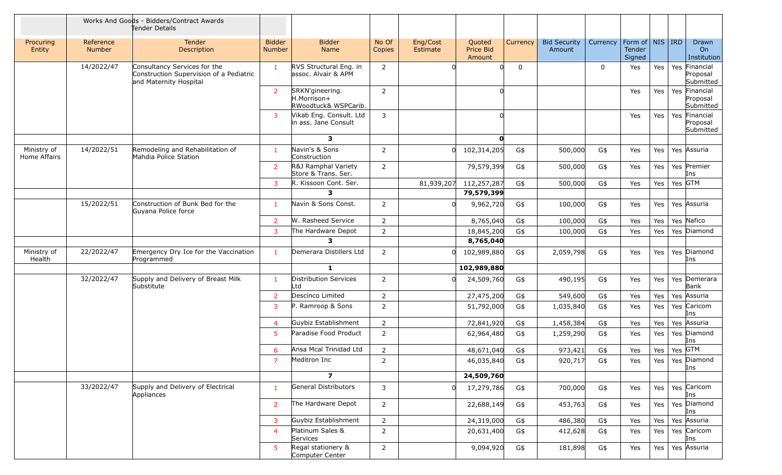|                             |                            | Works And Goods - Bidders/Contract Awards<br>Tender Details                                       |                                |                                                        |                 |                      |                               |             |                               |          |                                         |     |                 |                                        |
|-----------------------------|----------------------------|---------------------------------------------------------------------------------------------------|--------------------------------|--------------------------------------------------------|-----------------|----------------------|-------------------------------|-------------|-------------------------------|----------|-----------------------------------------|-----|-----------------|----------------------------------------|
| Procuring<br>Entity         | Reference<br><b>Number</b> | Tender<br>Description                                                                             | <b>Bidder</b><br><b>Number</b> | <b>Bidder</b><br>Name                                  | No Of<br>Copies | Eng/Cost<br>Estimate | Quoted<br>Price Bid<br>Amount | Currency    | <b>Bid Security</b><br>Amount | Currency | Form of   NIS   IRD<br>Tender<br>Signed |     |                 | Drawn<br>On<br>Institution             |
|                             | 14/2022/47                 | Consultancy Services for the<br>Construction Supervision of a Pediatric<br>and Maternity Hospital | -1                             | RVS Structural Eng. in<br>assoc. Alvair & APM          | $\overline{2}$  |                      |                               | $\mathbf 0$ |                               | 0        | Yes                                     | Yes |                 | Yes Financial<br>Proposal<br>Submitted |
|                             |                            |                                                                                                   | 2                              | SRKN'gineering.<br>H.Morrison+<br>RWoodtuck& WSPCarib. | $\overline{2}$  |                      |                               |             |                               |          | Yes                                     | Yes |                 | Yes Financial<br>Proposal<br>Submitted |
|                             |                            |                                                                                                   | 3                              | Vikab Eng. Consult. Ltd<br>in ass. Jane Consult        | 3               |                      |                               |             |                               |          | Yes                                     | Yes |                 | Yes Financial<br>Proposal<br>Submitted |
|                             |                            |                                                                                                   |                                | 3                                                      |                 |                      | O                             |             |                               |          |                                         |     |                 |                                        |
| Ministry of<br>Home Affairs | 14/2022/51                 | Remodeling and Rehabilitation of<br>Mahdia Police Station                                         |                                | Navin's & Sons<br>Construction                         | $\overline{2}$  |                      | 102,314,205                   | G\$         | 500,000                       | G\$      | Yes                                     | Yes |                 | Yes Assuria                            |
|                             |                            |                                                                                                   | $\overline{2}$                 | R&J Ramphal Variety<br>Store & Trans. Ser.             | $\overline{2}$  |                      | 79,579,399                    | G\$         | 500,000                       | G\$      | Yes                                     | Yes |                 | Yes Premier<br>Ins                     |
|                             |                            |                                                                                                   | 3                              | R. Kissoon Cont. Ser.                                  |                 | 81,939,207           | 112,257,287                   | G\$         | 500,000                       | G\$      | Yes                                     | Yes |                 | Yes GTM                                |
|                             |                            |                                                                                                   |                                | $\overline{\mathbf{3}}$                                |                 |                      | 79,579,399                    |             |                               |          |                                         |     |                 |                                        |
|                             | 15/2022/51                 | Construction of Bunk Bed for the<br>Guyana Police force                                           | -1                             | Navin & Sons Const.                                    | $\overline{2}$  |                      | 9,962,720                     | G\$         | 100,000                       | G\$      | Yes                                     | Yes |                 | Yes Assuria                            |
|                             |                            |                                                                                                   | 2                              | W. Rasheed Service                                     | $\overline{2}$  |                      | 8,765,040                     | G\$         | 100,000                       | G\$      | Yes                                     | Yes |                 | Yes Nafico                             |
|                             |                            |                                                                                                   | 3                              | The Hardware Depot                                     | $\overline{2}$  |                      | 18,845,200                    | G\$         | 100,000                       | G\$      | Yes                                     | Yes |                 | Yes Diamond                            |
|                             |                            |                                                                                                   |                                | 3                                                      |                 |                      | 8,765,040                     |             |                               |          |                                         |     |                 |                                        |
| Ministry of<br>Health       | 22/2022/47                 | Emergency Dry Ice for the Vaccination<br>Programmed                                               | $\mathbf{1}$                   | Demerara Distillers Ltd<br>1                           | $\overline{2}$  |                      | 102,989,880<br>102,989,880    | G\$         | 2,059,798                     | G\$      | Yes                                     | Yes |                 | Yes Diamond<br>Ins                     |
|                             |                            |                                                                                                   |                                |                                                        |                 |                      |                               |             |                               |          |                                         |     |                 |                                        |
|                             | 32/2022/47                 | Supply and Delivery of Breast Milk<br>Substitute                                                  | -1                             | Distribution Services<br>Ltd                           | $\overline{2}$  |                      | 24,509,760                    | G\$         | 490,195                       | G\$      | Yes                                     | Yes |                 | Yes Demerara<br>Bank                   |
|                             |                            |                                                                                                   | $\overline{2}$                 | Descinco Limited                                       | $\overline{2}$  |                      | 27,475,200                    | G\$         | 549,600                       | G\$      | Yes                                     | Yes |                 | Yes Assuria                            |
|                             |                            |                                                                                                   | 3                              | P. Ramroop & Sons                                      | $\overline{2}$  |                      | 51,792,000                    | G\$         | 1,035,840                     | G\$      | Yes                                     | Yes |                 | Yes Caricom<br>Ins                     |
|                             |                            |                                                                                                   | $\overline{4}$                 | Guybiz Establishment                                   | $\overline{2}$  |                      | 72,841,920                    | G\$         | 1,458,384                     | G\$      | Yes                                     | Yes |                 | Yes Assuria                            |
|                             |                            |                                                                                                   | 5                              | Paradise Food Product                                  | $\overline{2}$  |                      | 62,964,480                    | G\$         | 1,259,290                     | G\$      | Yes                                     | Yes |                 | Yes Diamond<br>Ins                     |
|                             |                            |                                                                                                   | 6                              | Ansa Mcal Trinidad Ltd                                 | $\overline{2}$  |                      | 48,671,040                    | G\$         | 973,421                       | G\$      | Yes                                     | Yes | $\vert$ Yes GTM |                                        |
|                             |                            |                                                                                                   | $\overline{7}$                 | Meditron Inc                                           | $\mathcal{P}$   |                      | 46,035,840                    | $G\$        | 920,717                       | G\$      | Yes                                     |     |                 | Yes   Yes $ $ Diamond<br>Ins           |
|                             |                            |                                                                                                   |                                | $\overline{ }$                                         |                 |                      | 24,509,760                    |             |                               |          |                                         |     |                 |                                        |
|                             | 33/2022/47                 | Supply and Delivery of Electrical<br>Appliances                                                   | $\mathbf{1}$                   | General Distributors                                   | 3               |                      | 17,279,786                    | G\$         | 700,000                       | G\$      | Yes                                     |     |                 | Yes   Yes   Caricom<br>Ins             |
|                             |                            |                                                                                                   | $\overline{2}$                 | The Hardware Depot                                     | $\overline{2}$  |                      | 22,688,149                    | G\$         | 453,763                       | G\$      | Yes                                     | Yes |                 | Yes Diamond<br>Ins                     |
|                             |                            |                                                                                                   | 3                              | Guybiz Establishment                                   | $\overline{2}$  |                      | 24,319,000                    | G\$         | 486,380                       | G\$      | Yes                                     | Yes |                 | Yes Assuria                            |
|                             |                            |                                                                                                   | $\overline{4}$                 | Platinum Sales &<br>Services                           | $\overline{2}$  |                      | 20,631,400                    | G\$         | 412,628                       | G\$      | Yes                                     | Yes |                 | Yes Caricom<br>Ins                     |
|                             |                            |                                                                                                   | -5                             | Regal stationery &<br>Computer Center                  | $\overline{2}$  |                      | 9,094,920                     | G\$         | 181,898                       | G\$      | Yes                                     | Yes |                 | Yes Assuria                            |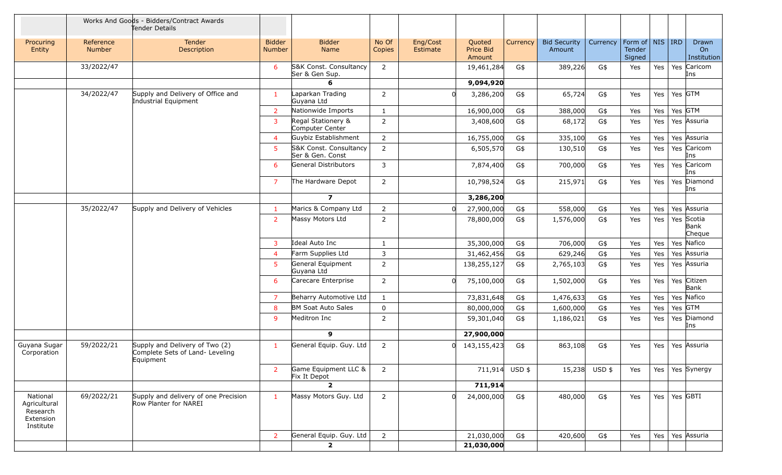|                                                                |                     | Works And Goods - Bidders/Contract Awards<br>Tender Details                    |                                |                                            |                 |                      |                               |          |                               |               |                                         |         |                              |
|----------------------------------------------------------------|---------------------|--------------------------------------------------------------------------------|--------------------------------|--------------------------------------------|-----------------|----------------------|-------------------------------|----------|-------------------------------|---------------|-----------------------------------------|---------|------------------------------|
| Procuring<br>Entity                                            | Reference<br>Number | <b>Tender</b><br>Description                                                   | <b>Bidder</b><br><b>Number</b> | <b>Bidder</b><br>Name                      | No Of<br>Copies | Eng/Cost<br>Estimate | Quoted<br>Price Bid<br>Amount | Currency | <b>Bid Security</b><br>Amount | Currency      | Form of   NIS   IRD<br>Tender<br>Signed |         | Drawn<br>On<br>Institution   |
|                                                                | 33/2022/47          |                                                                                | 6                              | S&K Const. Consultancy<br>Ser & Gen Sup.   | $\overline{2}$  |                      | 19,461,284                    | G\$      | 389,226                       | G\$           | Yes                                     | Yes     | Yes Caricom<br>Ins           |
|                                                                |                     |                                                                                |                                | 6                                          |                 |                      | 9,094,920                     |          |                               |               |                                         |         |                              |
|                                                                | 34/2022/47          | Supply and Delivery of Office and<br>Industrial Equipment                      | $\overline{1}$                 | Laparkan Trading<br>Guyana Ltd             | $\overline{2}$  | <sup>0</sup>         | 3,286,200                     | G\$      | 65,724                        | G\$           | Yes                                     | Yes     | Yes GTM                      |
|                                                                |                     |                                                                                | 2                              | Nationwide Imports                         | $\mathbf{1}$    |                      | 16,900,000                    | G\$      | 388,000                       | G\$           | Yes                                     | Yes     | Yes GTM                      |
|                                                                |                     |                                                                                | 3                              | Regal Stationery &<br>Computer Center      | $\overline{2}$  |                      | 3,408,600                     | G\$      | 68,172                        | G\$           | Yes                                     | Yes     | Yes Assuria                  |
|                                                                |                     |                                                                                | $\overline{4}$                 | Guybiz Establishment                       | $\overline{2}$  |                      | 16,755,000                    | G\$      | 335,100                       | G\$           | Yes                                     | Yes     | Yes Assuria                  |
|                                                                |                     |                                                                                | -5                             | S&K Const. Consultancy<br>Ser & Gen. Const | $\overline{2}$  |                      | 6,505,570                     | G\$      | 130,510                       | G\$           | Yes                                     | Yes     | Yes Caricom<br>Ins           |
|                                                                |                     |                                                                                | 6                              | General Distributors                       | 3               |                      | 7,874,400                     | G\$      | 700,000                       | G\$           | Yes                                     | Yes     | Yes Caricom<br>Ins           |
|                                                                |                     |                                                                                | -7                             | The Hardware Depot                         | $\overline{2}$  |                      | 10,798,524                    | G\$      | 215,971                       | G\$           | Yes                                     | Yes     | Yes Diamond<br>Ins           |
|                                                                |                     |                                                                                |                                | $\overline{ }$                             |                 |                      | 3,286,200                     |          |                               |               |                                         |         |                              |
|                                                                | 35/2022/47          | Supply and Delivery of Vehicles                                                | $\overline{1}$                 | Marics & Company Ltd                       | $\overline{2}$  | $\Omega$             | 27,900,000                    | G\$      | 558,000                       | G\$           | Yes                                     | Yes     | Yes Assuria                  |
|                                                                |                     |                                                                                | $\overline{2}$                 | Massy Motors Ltd                           | $\overline{2}$  |                      | 78,800,000                    | G\$      | 1,576,000                     | G\$           | Yes                                     | Yes     | Yes Scotia<br>Bank<br>Cheque |
|                                                                |                     |                                                                                | 3                              | Ideal Auto Inc                             | $\mathbf{1}$    |                      | 35,300,000                    | G\$      | 706,000                       | G\$           | Yes                                     | Yes     | Yes Nafico                   |
|                                                                |                     |                                                                                | $\overline{4}$                 | Farm Supplies Ltd                          | 3               |                      | 31,462,456                    | G\$      | 629,246                       | G\$           | Yes                                     | Yes     | Yes Assuria                  |
|                                                                |                     |                                                                                | -5                             | General Equipment<br>Guyana Ltd            | $\overline{2}$  |                      | 138,255,127                   | G\$      | 2,765,103                     | G\$           | Yes                                     | Yes     | Yes Assuria                  |
|                                                                |                     |                                                                                | 6                              | Carecare Enterprise                        | $\overline{2}$  | $\Omega$             | 75,100,000                    | G\$      | 1,502,000                     | G\$           | Yes                                     | Yes     | Yes Citizen<br>Bank          |
|                                                                |                     |                                                                                | -7                             | Beharry Automotive Ltd                     | $\mathbf{1}$    |                      | 73,831,648                    | G\$      | 1,476,633                     | G\$           | Yes                                     | Yes     | Yes Nafico                   |
|                                                                |                     |                                                                                | -8                             | <b>BM Soat Auto Sales</b>                  | $\mathbf 0$     |                      | 80,000,000                    | G\$      | 1,600,000                     | G\$           | Yes                                     | Yes     | Yes GTM                      |
|                                                                |                     |                                                                                | <sub>9</sub>                   | Meditron Inc                               | $\overline{2}$  |                      | 59,301,040                    | G\$      | 1,186,021                     | G\$           | Yes                                     | Yes     | Yes Diamond<br>Ins           |
|                                                                |                     |                                                                                |                                | 9                                          |                 |                      | 27,900,000                    |          |                               |               |                                         |         |                              |
| Guyana Sugar<br>Corporation                                    | 59/2022/21          | Supply and Delivery of Two (2)<br>Complete Sets of Land- Leveling<br>Equipment | $\mathbf{1}$                   | General Equip. Guy. Ltd                    | $\overline{2}$  | ΩI                   | 143,155,423                   | G\$      | 863,108                       | G\$           | Yes                                     | Yes     | Yes Assuria                  |
|                                                                |                     |                                                                                | 2                              | Game Equipment LLC &<br>Fix It Depot       | 2               |                      | 711,914                       | $USD$ \$ |                               | 15,238 USD \$ | Yes                                     | Yes     | Yes Synergy                  |
|                                                                |                     |                                                                                |                                | $\overline{2}$                             |                 |                      | 711,914                       |          |                               |               |                                         |         |                              |
| National<br>Agricultural<br>Research<br>Extension<br>Institute | 69/2022/21          | Supply and delivery of one Precision<br>Row Planter for NAREI                  | $\mathbf{1}$                   | Massy Motors Guy. Ltd                      | $\overline{2}$  | <sup>n</sup>         | 24,000,000                    | G\$      | 480,000                       | G\$           | Yes                                     | Yes $ $ | $Yes$ GBTI                   |
|                                                                |                     |                                                                                | $\overline{2}$                 | General Equip. Guy. Ltd                    | $\overline{2}$  |                      | 21,030,000                    | G\$      | 420,600                       | G\$           | Yes                                     | Yes $ $ | Yes Assuria                  |
|                                                                |                     |                                                                                |                                | $\overline{\mathbf{2}}$                    |                 |                      | 21,030,000                    |          |                               |               |                                         |         |                              |